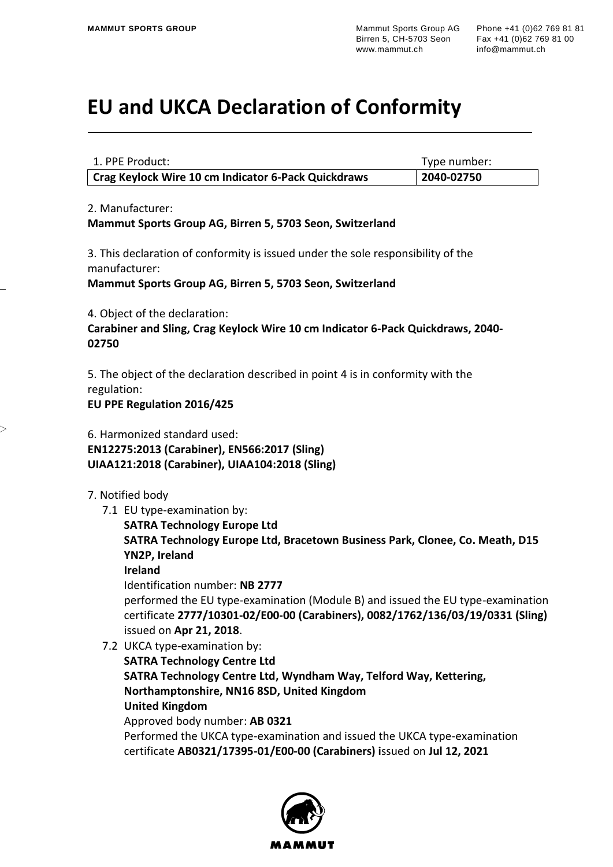## **EU and UKCA Declaration of Conformity**

| 1. PPE Product:                                     | Type number: |
|-----------------------------------------------------|--------------|
| Crag Keylock Wire 10 cm Indicator 6-Pack Quickdraws | 2040-02750   |

2. Manufacturer:

**Mammut Sports Group AG, Birren 5, 5703 Seon, Switzerland**

3. This declaration of conformity is issued under the sole responsibility of the manufacturer:

**Mammut Sports Group AG, Birren 5, 5703 Seon, Switzerland**

4. Object of the declaration:

**Carabiner and Sling, Crag Keylock Wire 10 cm Indicator 6-Pack Quickdraws, 2040- 02750**

5. The object of the declaration described in point 4 is in conformity with the regulation:

**EU PPE Regulation 2016/425**

6. Harmonized standard used: **EN12275:2013 (Carabiner), EN566:2017 (Sling) UIAA121:2018 (Carabiner), UIAA104:2018 (Sling)**

- 7. Notified body
	- 7.1 EU type-examination by:

**SATRA Technology Europe Ltd SATRA Technology Europe Ltd, Bracetown Business Park, Clonee, Co. Meath, D15 YN2P, Ireland Ireland**

Identification number: **NB 2777**

performed the EU type-examination (Module B) and issued the EU type-examination certificate **2777/10301-02/E00-00 (Carabiners), 0082/1762/136/03/19/0331 (Sling)** issued on **Apr 21, 2018**.

7.2 UKCA type-examination by: **SATRA Technology Centre Ltd SATRA Technology Centre Ltd, Wyndham Way, Telford Way, Kettering, Northamptonshire, NN16 8SD, United Kingdom United Kingdom** Approved body number: **AB 0321** Performed the UKCA type-examination and issued the UKCA type-examination certificate **AB0321/17395-01/E00-00 (Carabiners) i**ssued on **Jul 12, 2021**

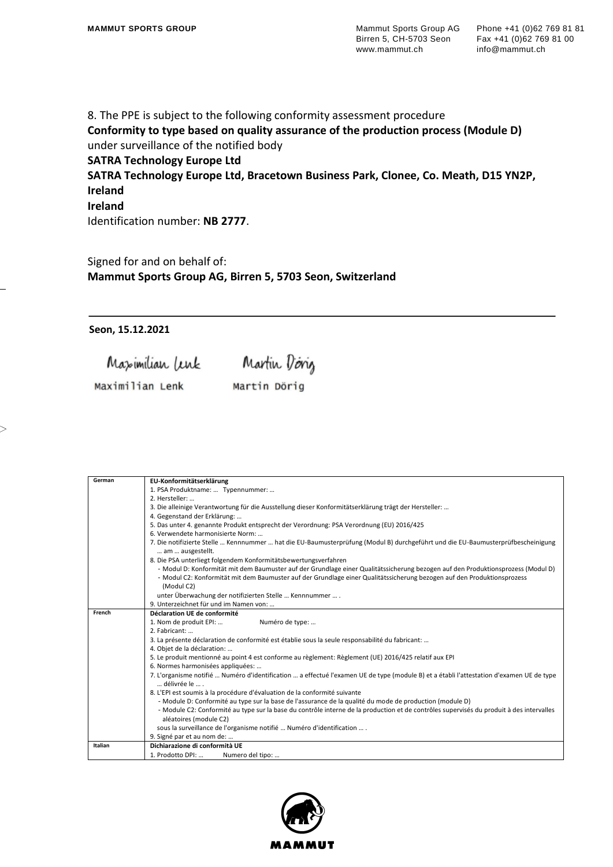8. The PPE is subject to the following conformity assessment procedure **Conformity to type based on quality assurance of the production process (Module D)** under surveillance of the notified body

**SATRA Technology Europe Ltd**

**SATRA Technology Europe Ltd, Bracetown Business Park, Clonee, Co. Meath, D15 YN2P, Ireland**

## **Ireland**

Identification number: **NB 2777**.

Signed for and on behalf of: **Mammut Sports Group AG, Birren 5, 5703 Seon, Switzerland**

**Seon, 15.12.2021**

Maximilian Lenk Martin Doing

Maximilian Lenk Martin Dörig

| German  | EU-Konformitätserklärung                                                                                                                             |
|---------|------------------------------------------------------------------------------------------------------------------------------------------------------|
|         | 1. PSA Produktname:  Typennummer:                                                                                                                    |
|         | 2. Hersteller:                                                                                                                                       |
|         | 3. Die alleinige Verantwortung für die Ausstellung dieser Konformitätserklärung trägt der Hersteller:                                                |
|         | 4. Gegenstand der Erklärung:                                                                                                                         |
|         | 5. Das unter 4. genannte Produkt entsprecht der Verordnung: PSA Verordnung (EU) 2016/425                                                             |
|         | 6. Verwendete harmonisierte Norm:                                                                                                                    |
|         | 7. Die notifizierte Stelle  Kennnummer  hat die EU-Baumusterprüfung (Modul B) durchgeführt und die EU-Baumusterprüfbescheinigung<br>am  ausgestellt. |
|         | 8. Die PSA unterliegt folgendem Konformitätsbewertungsverfahren                                                                                      |
|         | - Modul D: Konformität mit dem Baumuster auf der Grundlage einer Qualitätssicherung bezogen auf den Produktionsprozess (Modul D)                     |
|         | - Modul C2: Konformität mit dem Baumuster auf der Grundlage einer Qualitätssicherung bezogen auf den Produktionsprozess<br>(Modul C2)                |
|         | unter Überwachung der notifizierten Stelle  Kennnummer  .                                                                                            |
|         | 9. Unterzeichnet für und im Namen von:                                                                                                               |
| French  | Déclaration UE de conformité                                                                                                                         |
|         | Numéro de type:<br>1. Nom de produit EPI:                                                                                                            |
|         | 2. Fabricant:                                                                                                                                        |
|         | 3. La présente déclaration de conformité est établie sous la seule responsabilité du fabricant:                                                      |
|         | 4. Objet de la déclaration:                                                                                                                          |
|         | 5. Le produit mentionné au point 4 est conforme au règlement: Règlement (UE) 2016/425 relatif aux EPI                                                |
|         | 6. Normes harmonisées appliquées:                                                                                                                    |
|         | 7. L'organisme notifié  Numéro d'identification  a effectué l'examen UE de type (module B) et a établi l'attestation d'examen UE de type             |
|         | délivrée le                                                                                                                                          |
|         | 8. L'EPI est soumis à la procédure d'évaluation de la conformité suivante                                                                            |
|         | - Module D: Conformité au type sur la base de l'assurance de la qualité du mode de production (module D)                                             |
|         | - Module C2: Conformité au type sur la base du contrôle interne de la production et de contrôles supervisés du produit à des intervalles             |
|         | aléatoires (module C2)                                                                                                                               |
|         | sous la surveillance de l'organisme notifié  Numéro d'identification  .                                                                              |
|         | 9. Signé par et au nom de:                                                                                                                           |
| Italian | Dichiarazione di conformità UE                                                                                                                       |
|         | 1. Prodotto DPI:<br>Numero del tipo:                                                                                                                 |

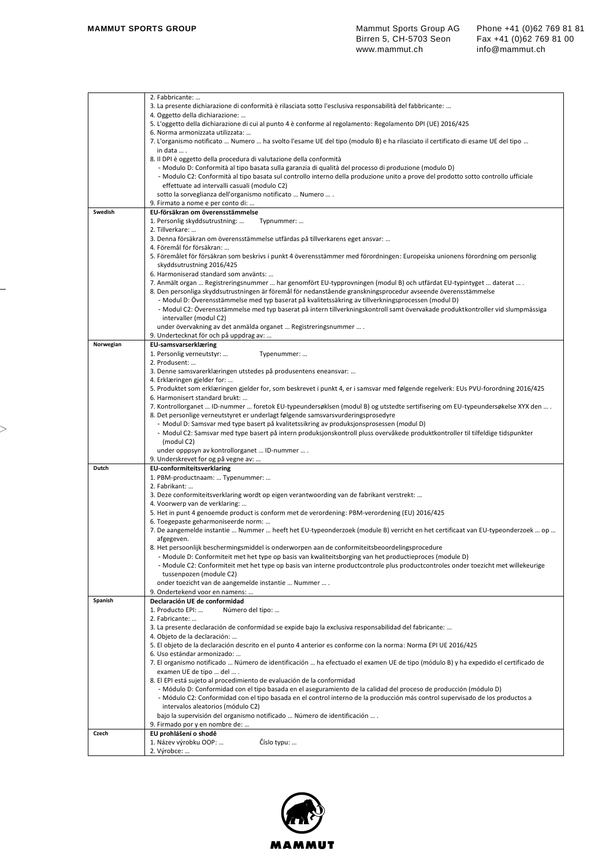|           | 2. Fabbricante:                                                                                                                                                                                                                              |
|-----------|----------------------------------------------------------------------------------------------------------------------------------------------------------------------------------------------------------------------------------------------|
|           | 3. La presente dichiarazione di conformità è rilasciata sotto l'esclusiva responsabilità del fabbricante:                                                                                                                                    |
|           | 4. Oggetto della dichiarazione:                                                                                                                                                                                                              |
|           | 5. L'oggetto della dichiarazione di cui al punto 4 è conforme al regolamento: Regolamento DPI (UE) 2016/425                                                                                                                                  |
|           | 6. Norma armonizzata utilizzata:                                                                                                                                                                                                             |
|           | 7. L'organismo notificato  Numero  ha svolto l'esame UE del tipo (modulo B) e ha rilasciato il certificato di esame UE del tipo                                                                                                              |
|           | in data  .                                                                                                                                                                                                                                   |
|           | 8. Il DPI è oggetto della procedura di valutazione della conformità                                                                                                                                                                          |
|           | - Modulo D: Conformità al tipo basata sulla garanzia di qualità del processo di produzione (modulo D)                                                                                                                                        |
|           | - Modulo C2: Conformità al tipo basata sul controllo interno della produzione unito a prove del prodotto sotto controllo ufficiale                                                                                                           |
|           | effettuate ad intervalli casuali (modulo C2)                                                                                                                                                                                                 |
|           | sotto la sorveglianza dell'organismo notificato  Numero  .                                                                                                                                                                                   |
|           | 9. Firmato a nome e per conto di:                                                                                                                                                                                                            |
| Swedish   | EU-försäkran om överensstämmelse                                                                                                                                                                                                             |
|           | 1. Personlig skyddsutrustning:<br>Typnummer:                                                                                                                                                                                                 |
|           | 2. Tillverkare:                                                                                                                                                                                                                              |
|           | 3. Denna försäkran om överensstämmelse utfärdas på tillverkarens eget ansvar:                                                                                                                                                                |
|           | 4. Föremål för försäkran:                                                                                                                                                                                                                    |
|           | 5. Föremålet för försäkran som beskrivs i punkt 4 överensstämmer med förordningen: Europeiska unionens förordning om personlig                                                                                                               |
|           | skyddsutrustning 2016/425                                                                                                                                                                                                                    |
|           | 6. Harmoniserad standard som använts:                                                                                                                                                                                                        |
|           | 7. Anmält organ  Registreringsnummer  har genomfört EU-typprovningen (modul B) och utfärdat EU-typintyget  daterat  .<br>8. Den personliga skyddsutrustningen är föremål för nedanstående granskningsprocedur avseende överensstämmelse      |
|           | - Modul D: Överensstämmelse med typ baserat på kvalitetssäkring av tillverkningsprocessen (modul D)                                                                                                                                          |
|           | - Modul C2: Överensstämmelse med typ baserat på intern tillverkningskontroll samt övervakade produktkontroller vid slumpmässiga                                                                                                              |
|           | intervaller (modul C2)                                                                                                                                                                                                                       |
|           | under övervakning av det anmälda organet  Registreringsnummer  .                                                                                                                                                                             |
|           | 9. Undertecknat för och på uppdrag av:                                                                                                                                                                                                       |
| Norwegian | <b>EU-samsvarserklæring</b>                                                                                                                                                                                                                  |
|           | 1. Personlig verneutstyr:<br>Typenummer:                                                                                                                                                                                                     |
|           | 2. Produsent:                                                                                                                                                                                                                                |
|           | 3. Denne samsvarerklæringen utstedes på produsentens eneansvar:                                                                                                                                                                              |
|           | 4. Erklæringen gjelder for:                                                                                                                                                                                                                  |
|           | 5. Produktet som erklæringen gjelder for, som beskrevet i punkt 4, er i samsvar med følgende regelverk: EUs PVU-forordning 2016/425                                                                                                          |
|           | 6. Harmonisert standard brukt:                                                                                                                                                                                                               |
|           | 7. Kontrollorganet  ID-nummer  foretok EU-typeundersøklsen (modul B) og utstedte sertifisering om EU-typeundersøkelse XYX den  .                                                                                                             |
|           | 8. Det personlige verneutstyret er underlagt følgende samsvarsvurderingsprosedyre                                                                                                                                                            |
|           | - Modul D: Samsvar med type basert på kvalitetssikring av produksjonsprosessen (modul D)                                                                                                                                                     |
|           | - Modul C2: Samsvar med type basert på intern produksjonskontroll pluss overvåkede produktkontroller til tilfeldige tidspunkter<br>(modul C2)                                                                                                |
|           | under opppsyn av kontrollorganet  ID-nummer  .                                                                                                                                                                                               |
|           | 9. Underskrevet for og på vegne av:                                                                                                                                                                                                          |
| Dutch     | <b>EU-conformiteitsverklaring</b>                                                                                                                                                                                                            |
|           | 1. PBM-productnaam:  Typenummer:                                                                                                                                                                                                             |
|           | 2. Fabrikant:                                                                                                                                                                                                                                |
|           | 3. Deze conformiteitsverklaring wordt op eigen verantwoording van de fabrikant verstrekt:                                                                                                                                                    |
|           | 4. Voorwerp van de verklaring:                                                                                                                                                                                                               |
|           | 5. Het in punt 4 genoemde product is conform met de verordening: PBM-verordening (EU) 2016/425                                                                                                                                               |
|           | 6. Toegepaste geharmoniseerde norm:                                                                                                                                                                                                          |
|           | 7. De aangemelde instantie  Nummer  heeft het EU-typeonderzoek (module B) verricht en het certificaat van EU-typeonderzoek  op                                                                                                               |
|           | afgegeven.                                                                                                                                                                                                                                   |
|           | 8. Het persoonlijk beschermingsmiddel is onderworpen aan de conformiteitsbeoordelingsprocedure                                                                                                                                               |
|           | - Module D: Conformiteit met het type op basis van kwaliteitsborging van het productieproces (module D)<br>- Module C2: Conformiteit met het type op basis van interne productcontrole plus productcontroles onder toezicht met willekeurige |
|           | tussenpozen (module C2)                                                                                                                                                                                                                      |
|           | onder toezicht van de aangemelde instantie  Nummer  .                                                                                                                                                                                        |
|           | 9. Ondertekend voor en namens:                                                                                                                                                                                                               |
| Spanish   | Declaración UE de conformidad                                                                                                                                                                                                                |
|           | 1. Producto EPI:<br>Número del tipo:                                                                                                                                                                                                         |
|           | 2. Fabricante:                                                                                                                                                                                                                               |
|           | 3. La presente declaración de conformidad se expide bajo la exclusiva responsabilidad del fabricante:                                                                                                                                        |
|           | 4. Objeto de la declaración:                                                                                                                                                                                                                 |
|           | 5. El objeto de la declaración descrito en el punto 4 anterior es conforme con la norma: Norma EPI UE 2016/425                                                                                                                               |
|           | 6. Uso estándar armonizado:                                                                                                                                                                                                                  |
|           | 7. El organismo notificado  Número de identificación  ha efectuado el examen UE de tipo (módulo B) y ha expedido el certificado de<br>examen UE de tipo  del  .                                                                              |
|           | 8. El EPI está sujeto al procedimiento de evaluación de la conformidad                                                                                                                                                                       |
|           | - Módulo D: Conformidad con el tipo basada en el aseguramiento de la calidad del proceso de producción (módulo D)                                                                                                                            |
|           | - Módulo C2: Conformidad con el tipo basada en el control interno de la producción más control supervisado de los productos a                                                                                                                |
|           | intervalos aleatorios (módulo C2)                                                                                                                                                                                                            |
|           | bajo la supervisión del organismo notificado  Número de identificación  .                                                                                                                                                                    |
|           | 9. Firmado por y en nombre de:                                                                                                                                                                                                               |
| Czech     | EU prohlášení o shodě                                                                                                                                                                                                                        |
|           | Číslo typu:<br>1. Název výrobku OOP:                                                                                                                                                                                                         |
|           | 2. Výrobce:                                                                                                                                                                                                                                  |
|           |                                                                                                                                                                                                                                              |

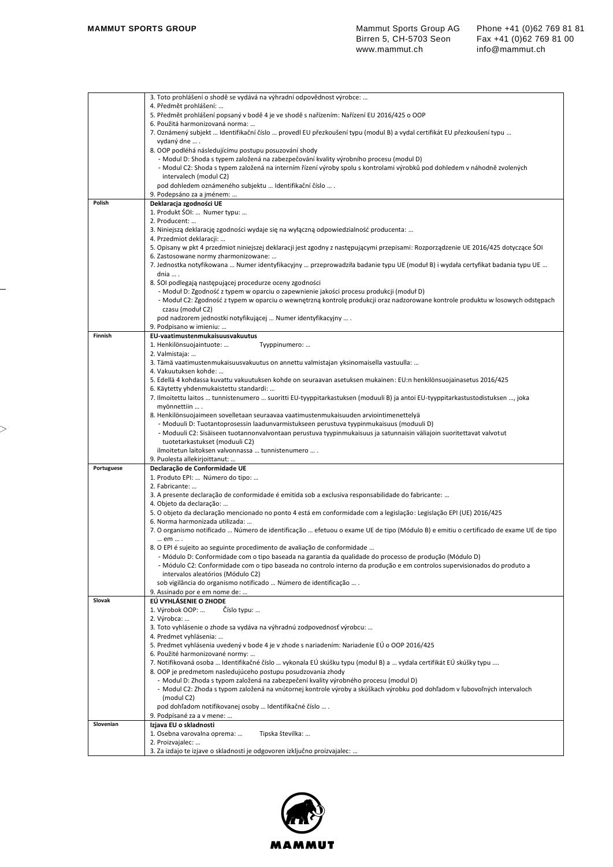|            | 3. Toto prohlášení o shodě se vydává na výhradní odpovědnost výrobce:                                                                |
|------------|--------------------------------------------------------------------------------------------------------------------------------------|
|            | 4. Předmět prohlášení:                                                                                                               |
|            | 5. Předmět prohlášení popsaný v bodě 4 je ve shodě s nařízením: Nařízení EU 2016/425 o OOP                                           |
|            | 6. Použitá harmonizovaná norma:                                                                                                      |
|            | 7. Oznámený subjekt … Identifikační číslo … provedl EU přezkoušení typu (modul B) a vydal certifikát EU přezkoušení typu …           |
|            | vydaný dne  .                                                                                                                        |
|            |                                                                                                                                      |
|            | 8. OOP podléhá následujícímu postupu posuzování shody                                                                                |
|            | - Modul D: Shoda s typem založená na zabezpečování kvality výrobního procesu (modul D)                                               |
|            | - Modul C2: Shoda s typem založená na interním řízení výroby spolu s kontrolami výrobků pod dohledem v náhodně zvolených             |
|            | intervalech (modul C2)                                                                                                               |
|            | pod dohledem oznámeného subjektu  Identifikační číslo  .                                                                             |
|            | 9. Podepsáno za a jménem:                                                                                                            |
| Polish     | Deklaracja zgodności UE                                                                                                              |
|            | 1. Produkt SOI:  Numer typu:                                                                                                         |
|            | 2. Producent:                                                                                                                        |
|            |                                                                                                                                      |
|            | 3. Niniejszą deklarację zgodności wydaje się na wyłączną odpowiedzialność producenta:                                                |
|            | 4. Przedmiot deklaracji:                                                                                                             |
|            | 5. Opisany w pkt 4 przedmiot niniejszej deklaracji jest zgodny z następującymi przepisami: Rozporządzenie UE 2016/425 dotyczące ŚOI  |
|            | 6. Zastosowane normy zharmonizowane:                                                                                                 |
|            | 7. Jednostka notyfikowana  Numer identyfikacyjny  przeprowadziła badanie typu UE (moduł B) i wydała certyfikat badania typu UE       |
|            | dnia  .                                                                                                                              |
|            | 8. SOI podlegają następującej procedurze oceny zgodności                                                                             |
|            | - Moduł D: Zgodność z typem w oparciu o zapewnienie jakości procesu produkcji (moduł D)                                              |
|            | - Moduł C2: Zgodność z typem w oparciu o wewnętrzną kontrolę produkcji oraz nadzorowane kontrole produktu w losowych odstępach       |
|            |                                                                                                                                      |
|            | czasu (moduł C2)                                                                                                                     |
|            | pod nadzorem jednostki notyfikującej  Numer identyfikacyjny  .                                                                       |
|            | 9. Podpisano w imieniu:                                                                                                              |
| Finnish    | EU-vaatimustenmukaisuusvakuutus                                                                                                      |
|            | 1. Henkilönsuojaintuote:<br>Tyyppinumero:                                                                                            |
|            | 2. Valmistaja:                                                                                                                       |
|            | 3. Tämä vaatimustenmukaisuusvakuutus on annettu valmistajan yksinomaisella vastuulla:                                                |
|            | 4. Vakuutuksen kohde:                                                                                                                |
|            | 5. Edellä 4 kohdassa kuvattu vakuutuksen kohde on seuraavan asetuksen mukainen: EU:n henkilönsuojainasetus 2016/425                  |
|            |                                                                                                                                      |
|            | 6. Käytetty yhdenmukaistettu standardi:                                                                                              |
|            | 7. Ilmoitettu laitos  tunnistenumero  suoritti EU-tyyppitarkastuksen (moduuli B) ja antoi EU-tyyppitarkastustodistuksen , joka       |
|            | myönnettiin  .                                                                                                                       |
|            | 8. Henkilönsuojaimeen sovelletaan seuraavaa vaatimustenmukaisuuden arviointimenettelyä                                               |
|            | - Moduuli D: Tuotantoprosessin laadunvarmistukseen perustuva tyypinmukaisuus (moduuli D)                                             |
|            | - Moduuli C2: Sisäiseen tuotannonvalvontaan perustuva tyypinmukaisuus ja satunnaisin väliajoin suoritettavat valvotut                |
|            | tuotetarkastukset (moduuli C2)                                                                                                       |
|            | ilmoitetun laitoksen valvonnassa  tunnistenumero  .                                                                                  |
|            | 9. Puolesta allekirjoittanut:                                                                                                        |
|            |                                                                                                                                      |
| Portuguese | Declaração de Conformidade UE                                                                                                        |
|            | 1. Produto EPI:  Número do tipo:                                                                                                     |
|            | 2. Fabricante:                                                                                                                       |
|            | 3. A presente declaração de conformidade é emitida sob a exclusiva responsabilidade do fabricante:                                   |
|            | 4. Objeto da declaração:                                                                                                             |
|            | 5. O objeto da declaração mencionado no ponto 4 está em conformidade com a legislação: Legislação EPI (UE) 2016/425                  |
|            | 6. Norma harmonizada utilizada:                                                                                                      |
|            | 7. O organismo notificado  Número de identificação  efetuou o exame UE de tipo (Módulo B) e emitiu o certificado de exame UE de tipo |
|            |                                                                                                                                      |
|            | em  .                                                                                                                                |
|            | 8. O EPI é sujeito ao seguinte procedimento de avaliação de conformidade                                                             |
|            | - Módulo D: Conformidade com o tipo baseada na garantia da qualidade do processo de produção (Módulo D)                              |
|            | - Módulo C2: Conformidade com o tipo baseada no controlo interno da produção e em controlos supervisionados do produto a             |
|            | intervalos aleatórios (Módulo C2)                                                                                                    |
|            | sob vigilância do organismo notificado  Número de identificação  .                                                                   |
|            | 9. Assinado por e em nome de:                                                                                                        |
| Slovak     | EÚ VYHLÁSENIE O ZHODE                                                                                                                |
|            | 1. Výrobok OOP:<br>Císlo typu:                                                                                                       |
|            |                                                                                                                                      |
|            | 2. Výrobca:                                                                                                                          |
|            | 3. Toto vyhlásenie o zhode sa vydáva na výhradnú zodpovednosť výrobcu:                                                               |
|            | 4. Predmet vyhlásenia:                                                                                                               |
|            | 5. Predmet vyhlásenia uvedený v bode 4 je v zhode s nariadením: Nariadenie EÚ o OOP 2016/425                                         |
|            | 6. Použité harmonizované normy:                                                                                                      |
|            | 7. Notifikovaná osoba … Identifikačné číslo … vykonala EÚ skúšku typu (modul B) a … vydala certifikát EÚ skúšky typu ….              |
|            | 8. OOP je predmetom nasledujúceho postupu posudzovania zhody                                                                         |
|            | - Modul D: Zhoda s typom založená na zabezpečení kvality výrobného procesu (modul D)                                                 |
|            |                                                                                                                                      |
|            | - Modul C2: Zhoda s typom založená na vnútornej kontrole výroby a skúškach výrobku pod dohľadom v ľubovoľných intervaloch            |
|            | (modul C2)                                                                                                                           |
|            | pod dohľadom notifikovanej osoby  Identifikačné číslo  .                                                                             |
|            | 9. Podpísané za a v mene:                                                                                                            |
| Slovenian  | Izjava EU o skladnosti                                                                                                               |
|            |                                                                                                                                      |
|            |                                                                                                                                      |
|            | 1. Osebna varovalna oprema:<br>Tipska številka:                                                                                      |
|            | 2. Proizvajalec:                                                                                                                     |
|            | 3. Za izdajo te izjave o skladnosti je odgovoren izključno proizvajalec:                                                             |

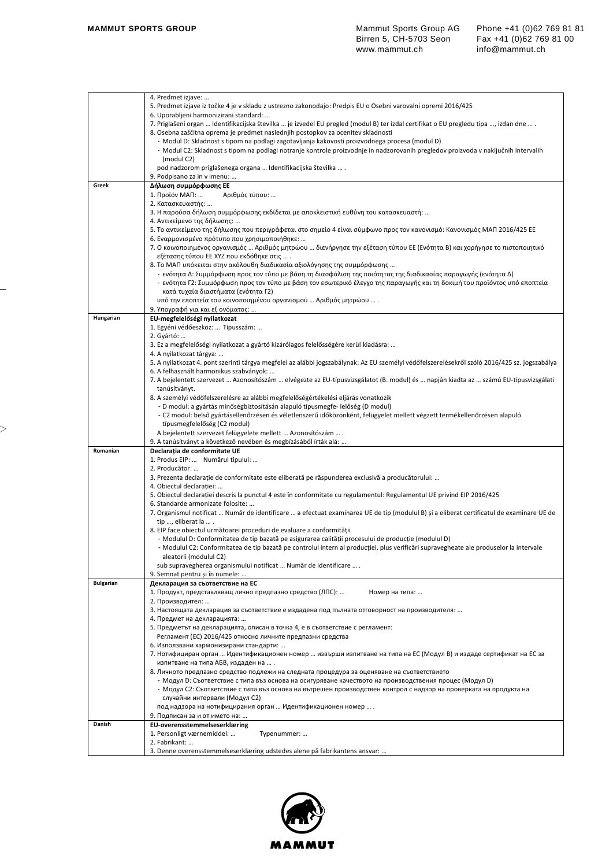|                  | 4. Predmet izjave:                                                                                                                            |
|------------------|-----------------------------------------------------------------------------------------------------------------------------------------------|
|                  | 5. Predmet izjave iz točke 4 je v skladu z ustrezno zakonodajo: Predpis EU o Osebni varovalni opremi 2016/425                                 |
|                  | 6. Uporabljeni harmonizirani standard:                                                                                                        |
|                  | 7. Priglašeni organ  Identifikacijska številka  je izvedel EU pregled (modul B) ter izdal certifikat o EU pregledu tipa , izdan dne  .        |
|                  | 8. Osebna zaščitna oprema je predmet naslednjih postopkov za ocenitev skladnosti                                                              |
|                  | - Modul D: Skladnost s tipom na podlagi zagotavljanja kakovosti proizvodnega procesa (modul D)                                                |
|                  | - Modul C2: Skladnost s tipom na podlagi notranje kontrole proizvodnje in nadzorovanih pregledov proizvoda v naključnih intervalih            |
|                  | (modul C2)                                                                                                                                    |
|                  | pod nadzorom priglašenega organa  Identifikacijska številka  .                                                                                |
|                  | 9. Podpisano za in v imenu:                                                                                                                   |
| Greek            | Δήλωση συμμόρφωσης ΕΕ                                                                                                                         |
|                  | Αριθμός τύπου:<br>1. Προϊόν ΜΑΠ:                                                                                                              |
|                  | 2. Κατασκευαστής:                                                                                                                             |
|                  | 3. Η παρούσα δήλωση συμμόρφωσης εκδίδεται με αποκλειστική ευθύνη του κατασκευαστή:                                                            |
|                  | 4. Αντικείμενο της δήλωσης:                                                                                                                   |
|                  | 5. Το αντικείμενο της δήλωσης που περιγράφεται στο σημείο 4 είναι σύμφωνο προς τον κανονισμό: Κανονισμός ΜΑΠ 2016/425 ΕΕ                      |
|                  | 6. Εναρμονισμένο πρότυπο που χρησιμοποιήθηκε:                                                                                                 |
|                  | 7. Ο κοινοποιημένος οργανισμός … Αριθμός μητρώου … διενήργησε την εξέταση τύπου ΕΕ (Ενότητα Β) και χορήγησε το πιστοποιητικό                  |
|                  | εξέτασης τύπου ΕΕ ΧΥΖ που εκδόθηκε στις  .                                                                                                    |
|                  | 8. Το ΜΑΠ υπόκειται στην ακόλουθη διαδικασία αξιολόγησης της συμμόρφωσης                                                                      |
|                  | - ενότητα Δ: Συμμόρφωση προς τον τύπο με βάση τη διασφάλιση της ποιότητας της διαδικασίας παραγωγής (ενότητα Δ)                               |
|                  | - ενότητα Γ2: Συμμόρφωση προς τον τύπο με βάση τον εσωτερικό έλεγχο της παραγωγής και τη δοκιμή του προϊόντος υπό εποπτεία                    |
|                  | κατά τυχαία διαστήματα (ενότητα Γ2)                                                                                                           |
|                  | υπό την εποπτεία του κοινοποιημένου οργανισμού … Αριθμός μητρώου … .                                                                          |
|                  | 9. Υπογραφή για και εξ ονόματος:                                                                                                              |
| Hungarian        | EU-megfelelőségi nyilatkozat                                                                                                                  |
|                  | 1. Egyéni védőeszköz:  Típusszám:                                                                                                             |
|                  | 2. Gyártó:                                                                                                                                    |
|                  | 3. Ez a megfelelőségi nyilatkozat a gyártó kizárólagos felelősségére kerül kiadásra:                                                          |
|                  | 4. A nyilatkozat tárgya:                                                                                                                      |
|                  | 5. A nyilatkozat 4. pont szerinti tárgya megfelel az alábbi jogszabálynak: Az EU személyi védőfelszerelésekről szóló 2016/425 sz. jogszabálya |
|                  | 6. A felhasznált harmonikus szabványok:                                                                                                       |
|                  | 7. A bejelentett szervezet  Azonosítószám  elvégezte az EU-típusvizsgálatot (B. modul) és  napján kiadta az  számú EU-típusvizsgálati         |
|                  | tanúsítványt.                                                                                                                                 |
|                  | 8. A személyi védőfelszerelésre az alábbi megfelelőségértékelési eljárás vonatkozik                                                           |
|                  | - D modul: a gyártás minőségbiztosításán alapuló típusmegfe- lelőség (D modul)                                                                |
|                  | - C2 modul: belső gyártásellenőrzésen és véletlenszerű időközönként, felügyelet mellett végzett termékellenőrzésen alapuló                    |
|                  | típusmegfelelőség (C2 modul)                                                                                                                  |
|                  | A bejelentett szervezet felügyelete mellett  Azonosítószám  .                                                                                 |
|                  | 9. A tanúsítványt a következő nevében és megbízásából írták alá:                                                                              |
| Romanian         | Declaratia de conformitate UE                                                                                                                 |
|                  | 1. Produs EIP:  Numărul tipului:                                                                                                              |
|                  | 2. Producător:                                                                                                                                |
|                  | 3. Prezenta declarație de conformitate este eliberată pe răspunderea exclusivă a producătorului:                                              |
|                  | 4. Obiectul declaratiei:                                                                                                                      |
|                  | 5. Obiectul declarației descris la punctul 4 este în conformitate cu regulamentul: Regulamentul UE privind EIP 2016/425                       |
|                  |                                                                                                                                               |
|                  | 6. Standarde armonizate folosite:                                                                                                             |
|                  | 7. Organismul notificat  Număr de identificare  a efectuat examinarea UE de tip (modulul B) și a eliberat certificatul de examinare UE de     |
|                  | tip , eliberat la  .                                                                                                                          |
|                  | 8. EIP face obiectul următoarei proceduri de evaluare a conformității                                                                         |
|                  | - Modulul D: Conformitatea de tip bazată pe asigurarea calității procesului de producție (modulul D)                                          |
|                  | - Modulul C2: Conformitatea de tip bazată pe controlul intern al producției, plus verificări supravegheate ale produselor la intervale        |
|                  | aleatorii (modulul C2)                                                                                                                        |
|                  | sub supravegherea organismului notificat  Număr de identificare  .                                                                            |
|                  | 9. Semnat pentru și în numele:                                                                                                                |
| <b>Bulgarian</b> | Декларация за съответствие на ЕС                                                                                                              |
|                  | 1. Продукт, представляващ лично предпазно средство (ЛПС):<br>Номер на типа:                                                                   |
|                  | 2. Производител:                                                                                                                              |
|                  | 3. Настоящата декларация за съответствие е издадена под пълната отговорност на производителя:                                                 |
|                  | 4. Предмет на декларацията:                                                                                                                   |
|                  | 5. Предметът на декларацията, описан в точка 4, е в съответствие с регламент:                                                                 |
|                  | Регламент (ЕС) 2016/425 относно личните предпазни средства                                                                                    |
|                  | 6. Използвани хармонизирани стандарти:                                                                                                        |
|                  | 7. Нотифициран орган  Идентификационен номер  извърши изпитване на типа на ЕС (Модул В) и издаде сертификат на ЕС за                          |
|                  | изпитване на типа АБВ, издаден на  .                                                                                                          |
|                  | 8. Личното предпазно средство подлежи на следната процедура за оценяване на съответствието                                                    |
|                  | Модул D: Съответствие с типа въз основа на осигуряване качеството на производствения процес (Модул D)                                         |
|                  | - Модул С2: Съответствие с типа въз основа на вътрешен производствен контрол с надзор на проверката на продукта на                            |
|                  | случайни интервали (Модул С2)                                                                                                                 |
|                  | под надзора на нотифицирания орган  Идентификационен номер  .                                                                                 |
|                  | 9. Подписан за и от името на:                                                                                                                 |
| Danish           | EU-overensstemmelseserklæring                                                                                                                 |
|                  | 1. Personligt værnemiddel:<br>Typenummer:                                                                                                     |
|                  | 2. Fabrikant:                                                                                                                                 |